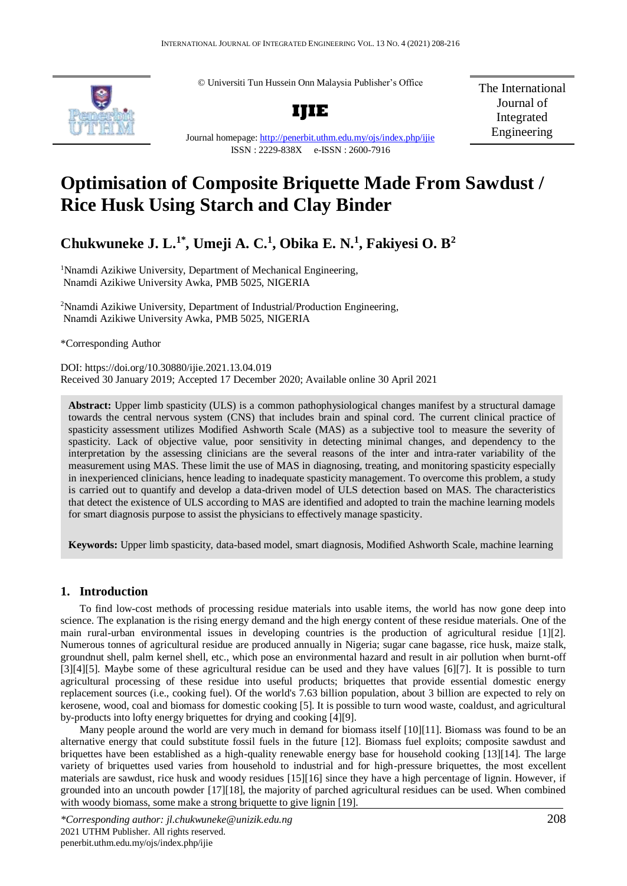© Universiti Tun Hussein Onn Malaysia Publisher's Office



Journal homepage:<http://penerbit.uthm.edu.my/ojs/index.php/ijie>

ISSN : 2229-838X e-ISSN : 2600-7916

The International Journal of Integrated Engineering

# **Optimisation of Composite Briquette Made From Sawdust / Rice Husk Using Starch and Clay Binder**

## **Chukwuneke J. L.1\* , Umeji A. C.<sup>1</sup> , Obika E. N.<sup>1</sup> , Fakiyesi O. B<sup>2</sup>**

<sup>1</sup>Nnamdi Azikiwe University, Department of Mechanical Engineering, Nnamdi Azikiwe University Awka, PMB 5025, NIGERIA

<sup>2</sup>Nnamdi Azikiwe University, Department of Industrial/Production Engineering, Nnamdi Azikiwe University Awka, PMB 5025, NIGERIA

\*Corresponding Author

DOI: https://doi.org/10.30880/ijie.2021.13.04.019 Received 30 January 2019; Accepted 17 December 2020; Available online 30 April 2021

Abstract: Upper limb spasticity (ULS) is a common pathophysiological changes manifest by a structural damage<br>towards the central nervous system (CNS) that includes brain and spinal cord. The current clinical practice of<br>sp towards the central nervous system (CNS) that includes brain and spinal cord. The current clinical practice of spasticity assessment utilizes Modified Ashworth Scale (MAS) as a subjective tool to measure the severity of spasticity. Lack of objective value, poor sensitivity in detecting minimal changes, and dependency to the interpretation by the assessing clinicians are the several reasons of the inter and intra-rater variability of the interpretation by the assessing clinicians are the several reasons of the inter and intra-rater variability of the measurement using MAS. These limit the use of MAS in diagnosing, treating, and monitoring spasticity especially measurement using MAS. These limit the use of MAS in diagnosing, treating, and monitoring spasticity especially<br>in inexperienced clinicians, hence leading to inadequate spasticity management. To overcome this problem, a st is carried out to quantify and develop a data-driven model of ULS detection based on MAS. The characteristics is carried out to quantify and develop a data-driven model of ULS detection based on MAS. The characteristics<br>that detect the existence of ULS according to MAS are identified and adopted to train the machine learning model for smart diagnosis purpose to assist the physicians to effectively manage spasticity.

**Keywords:** Upper limb spasticity, data-based model, smart diagnosis, Modified Ashworth Scale, machine learning

## **1. Introduction**

To find low-cost methods of processing residue materials into usable items, the world has now gone deep into science. The explanation is the rising energy demand and the high energy content of these residue materials. One of the main rural-urban environmental issues in developing countries is the production of agricultural residue [1][2]. Numerous tonnes of agricultural residue are produced annually in Nigeria; sugar cane bagasse, rice husk, maize stalk, groundnut shell, palm kernel shell, etc., which pose an environmental hazard and result in air pollution when burnt-off [3][4][5]. Maybe some of these agricultural residue can be used and they have values [6][7]. It is possible to turn agricultural processing of these residue into useful products; briquettes that provide essential domestic energy replacement sources (i.e., cooking fuel). Of the world's 7.63 billion population, about 3 billion are expected to rely on kerosene, wood, coal and biomass for domestic cooking [5]. It is possible to turn wood waste, coaldust, and agricultural by-products into lofty energy briquettes for drying and cooking [4][9].

Many people around the world are very much in demand for biomass itself [10][11]. Biomass was found to be an alternative energy that could substitute fossil fuels in the future [12]. Biomass fuel exploits; composite sawdust and briquettes have been established as a high-quality renewable energy base for household cooking [13][14]. The large variety of briquettes used varies from household to industrial and for high-pressure briquettes, the most excellent materials are sawdust, rice husk and woody residues [15][16] since they have a high percentage of lignin. However, if grounded into an uncouth powder [17][18], the majority of parched agricultural residues can be used. When combined with woody biomass, some make a strong briquette to give lignin [19].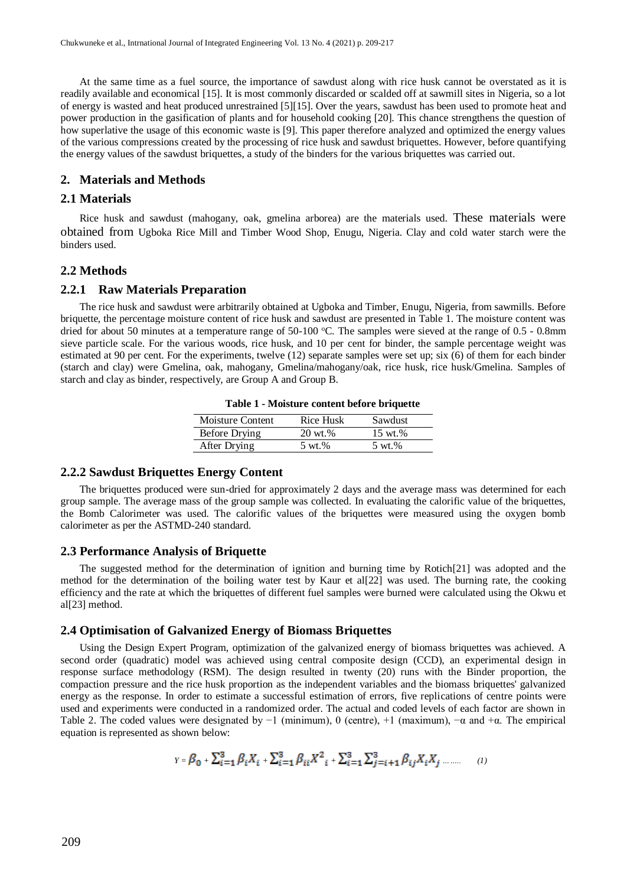At the same time as a fuel source, the importance of sawdust along with rice husk cannot be overstated as it is readily available and economical [15]. It is most commonly discarded or scalded off at sawmill sites in Nigeria, so a lot of energy is wasted and heat produced unrestrained [5][15]. Over the years, sawdust has been used to promote heat and power production in the gasification of plants and for household cooking [20]. This chance strengthens the question of how superlative the usage of this economic waste is [9]. This paper therefore analyzed and optimized the energy values of the various compressions created by the processing of rice husk and sawdust briquettes. However, before quantifying the energy values of the sawdust briquettes, a study of the binders for the various briquettes was carried out.

## **2. Materials and Methods**

#### **2.1 Materials**

Rice husk and sawdust (mahogany, oak, gmelina arborea) are the materials used. These materials were obtained from Ugboka Rice Mill and Timber Wood Shop, Enugu, Nigeria. Clay and cold water starch were the binders used.

#### **2.2 Methods**

#### **2.2.1 Raw Materials Preparation**

The rice husk and sawdust were arbitrarily obtained at Ugboka and Timber, Enugu, Nigeria, from sawmills. Before briquette, the percentage moisture content of rice husk and sawdust are presented in Table 1. The moisture content was dried for about 50 minutes at a temperature range of 50-100  $^{\circ}$ C. The samples were sieved at the range of 0.5 - 0.8mm sieve particle scale. For the various woods, rice husk, and 10 per cent for binder, the sample percentage weight was estimated at 90 per cent. For the experiments, twelve (12) separate samples were set up; six (6) of them for each binder (starch and clay) were Gmelina, oak, mahogany, Gmelina/mahogany/oak, rice husk, rice husk/Gmelina. Samples of starch and clay as binder, respectively, are Group A and Group B.

| Table 1 - Moisture content before briquette |  |  |  |
|---------------------------------------------|--|--|--|
|---------------------------------------------|--|--|--|

| Moisture Content | Rice Husk          | Sawdust           |
|------------------|--------------------|-------------------|
| Before Drying    | $20 \text{ wt.} %$ | 15 wt.%           |
| After Drying     | $5 \text{ wt.} \%$ | $5 \text{ wt.} %$ |
|                  |                    |                   |

#### **2.2.2 Sawdust Briquettes Energy Content**

The briquettes produced were sun-dried for approximately 2 days and the average mass was determined for each group sample. The average mass of the group sample was collected. In evaluating the calorific value of the briquettes, the Bomb Calorimeter was used. The calorific values of the briquettes were measured using the oxygen bomb calorimeter as per the ASTMD-240 standard.

#### **2.3 Performance Analysis of Briquette**

The suggested method for the determination of ignition and burning time by Rotich[21] was adopted and the method for the determination of the boiling water test by Kaur et al[22] was used. The burning rate, the cooking efficiency and the rate at which the briquettes of different fuel samples were burned were calculated using the Okwu et al[23] method.

### **2.4 Optimisation of Galvanized Energy of Biomass Briquettes**

Using the Design Expert Program, optimization of the galvanized energy of biomass briquettes was achieved. A second order (quadratic) model was achieved using central composite design (CCD), an experimental design in response surface methodology (RSM). The design resulted in twenty (20) runs with the Binder proportion, the compaction pressure and the rice husk proportion as the independent variables and the biomass briquettes' galvanized energy as the response. In order to estimate a successful estimation of errors, five replications of centre points were used and experiments were conducted in a randomized order. The actual and coded levels of each factor are shown in Table 2. The coded values were designated by  $-1$  (minimum), 0 (centre),  $+1$  (maximum),  $-\alpha$  and  $+\alpha$ . The empirical equation is represented as shown below:

$$
Y = \beta_0 + \sum_{i=1}^3 \beta_i X_i + \sum_{i=1}^3 \beta_{ii} X_{i}^2 + \sum_{i=1}^3 \sum_{j=i+1}^3 \beta_{ij} X_i X_j \dots \dots \qquad (1)
$$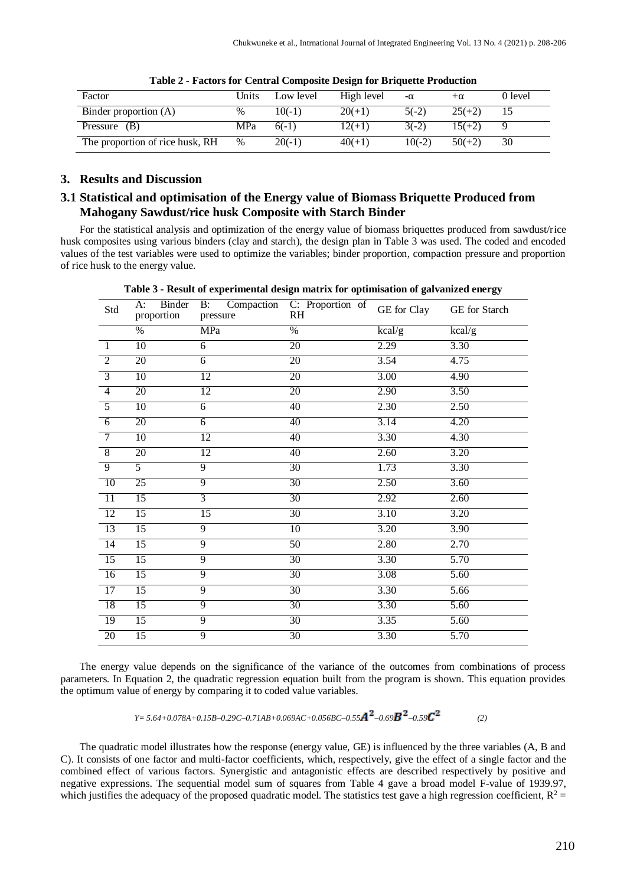| Factor                          | Units | Low level | High level | -α       | $+\alpha$ | 0 level |
|---------------------------------|-------|-----------|------------|----------|-----------|---------|
| Binder proportion (A)           | $\%$  | $10(-1)$  | $20(+1)$   | $5(-2)$  | $25(+2)$  |         |
| Pressure $(B)$                  | MPa   | $6(-1)$   | $12(+1)$   | $3(-2)$  | $15(+2)$  |         |
| The proportion of rice husk, RH | $\%$  | $20(-1)$  | $40(+1)$   | $10(-2)$ | $50(+2)$  | 30      |

## **3. Results and Discussion**

## **3.1 Statistical and optimisation of the Energy value of Biomass Briquette Produced from Mahogany Sawdust/rice husk Composite with Starch Binder**

For the statistical analysis and optimization of the energy value of biomass briquettes produced from sawdust/rice husk composites using various binders (clay and starch), the design plan in Table 3 was used. The coded and encoded values of the test variables were used to optimize the variables; binder proportion, compaction pressure and proportion of rice husk to the energy value.

| Std             | Binder<br>A:<br>proportion | pressure        | B: Compaction C: Proportion of<br>RH | GE for Clay | GE for Starch               |
|-----------------|----------------------------|-----------------|--------------------------------------|-------------|-----------------------------|
|                 | $\%$                       | MPa             | $\overline{\%}$                      | kcal/g      | $\overline{\text{kcal}}$ /g |
| $\overline{1}$  | 10                         | $\overline{6}$  | 20                                   | 2.29        | 3.30                        |
| $\overline{2}$  | 20                         | $\overline{6}$  | 20                                   | 3.54        | 4.75                        |
| $\overline{3}$  | 10                         | 12              | 20                                   | 3.00        | 4.90                        |
| $\overline{4}$  | 20                         | $\overline{12}$ | 20                                   | 2.90        | 3.50                        |
| $\overline{5}$  | 10                         | $\overline{6}$  | 40                                   | 2.30        | 2.50                        |
| $6\overline{6}$ | 20                         | 6               | 40                                   | 3.14        | 4.20                        |
| $\overline{7}$  | 10                         | 12              | 40                                   | 3.30        | 4.30                        |
| $\overline{8}$  | 20                         | 12              | 40                                   | 2.60        | 3.20                        |
| $\overline{9}$  | 5                          | 9               | $\overline{30}$                      | 1.73        | 3.30                        |
| <sup>10</sup>   | 25                         | $\overline{9}$  | 30                                   | 2.50        | 3.60                        |
| 11              | 15                         | $\overline{3}$  | 30                                   | 2.92        | 2.60                        |
| $\overline{12}$ | $\overline{15}$            | $\overline{15}$ | 30                                   | 3.10        | 3.20                        |
| 13              | 15                         | $\overline{9}$  | 10                                   | 3.20        | 3.90                        |
| -14             | 15                         | 9               | 50                                   | 2.80        | 2.70                        |
| 15              | 15                         | $\overline{9}$  | 30                                   | 3.30        | 5.70                        |
| 16              | 15                         | 9               | 30                                   | 3.08        | 5.60                        |
| 17              | 15                         | 9               | 30                                   | 3.30        | 5.66                        |
| 18              | 15                         | 9               | 30                                   | 3.30        | 5.60                        |
| 19              | 15                         | 9               | 30                                   | 3.35        | 5.60                        |
| 20              | 15                         | $\overline{9}$  | 30                                   | 3.30        | 5.70                        |

**Table 3 - Result of experimental design matrix for optimisation of galvanized energy**

The energy value depends on the significance of the variance of the outcomes from combinations of process parameters. In Equation 2, the quadratic regression equation built from the program is shown. This equation provides the optimum value of energy by comparing it to coded value variables.

 *Y= 5.64+0.078A+0.15B–0.29C–0.71AB+0.069AC+0.056BC–0.55 –0.69 –0.59 (2)*

The quadratic model illustrates how the response (energy value, GE) is influenced by the three variables (A, B and C). It consists of one factor and multi-factor coefficients, which, respectively, give the effect of a single factor and the combined effect of various factors. Synergistic and antagonistic effects are described respectively by positive and negative expressions. The sequential model sum of squares from Table 4 gave a broad model F-value of 1939.97, which justifies the adequacy of the proposed quadratic model. The statistics test gave a high regression coefficient,  $R^2$  =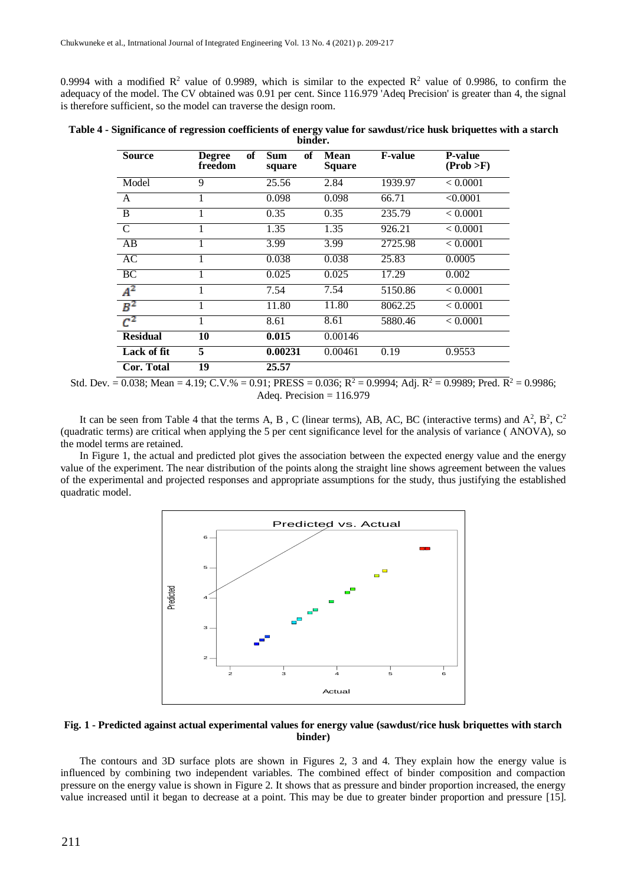0.9994 with a modified  $R^2$  value of 0.9989, which is similar to the expected  $R^2$  value of 0.9986, to confirm the adequacy of the model. The CV obtained was 0.91 per cent. Since 116.979 'Adeq Precision' is greater than 4, the signal is therefore sufficient, so the model can traverse the design room.

|  | Table 4 - Significance of regression coefficients of energy value for sawdust/rice husk briquettes with a starch |         |  |  |  |
|--|------------------------------------------------------------------------------------------------------------------|---------|--|--|--|
|  |                                                                                                                  | binder. |  |  |  |

| <b>Source</b>   | of<br><b>Degree</b><br>freedom | <b>Sum</b><br>of<br>square | <b>Mean</b><br><b>Square</b> | <b>F-value</b> | <b>P-value</b><br>(Prob > F) |
|-----------------|--------------------------------|----------------------------|------------------------------|----------------|------------------------------|
| Model           | 9                              | 25.56                      | 2.84                         | 1939.97        | < 0.0001                     |
| A               | 1                              | 0.098                      | 0.098                        | 66.71          | < 0.0001                     |
| $\overline{B}$  |                                | 0.35                       | 0.35                         | 235.79         | < 0.0001                     |
| $\overline{C}$  |                                | 1.35                       | 1.35                         | 926.21         | < 0.0001                     |
| AB              |                                | 3.99                       | 3.99                         | 2725.98        | < 0.0001                     |
| AC              |                                | 0.038                      | 0.038                        | 25.83          | 0.0005                       |
| BC              |                                | 0.025                      | 0.025                        | 17.29          | 0.002                        |
| $A^2$           |                                | 7.54                       | 7.54                         | 5150.86        | < 0.0001                     |
| $B^2$           |                                | 11.80                      | 11.80                        | 8062.25        | < 0.0001                     |
| $C^2$           | 1                              | 8.61                       | 8.61                         | 5880.46        | < 0.0001                     |
| <b>Residual</b> | 10                             | 0.015                      | 0.00146                      |                |                              |
| Lack of fit     | 5                              | 0.00231                    | 0.00461                      | 0.19           | 0.9553                       |
| Cor. Total      | 19                             | 25.57                      |                              |                |                              |

Std. Dev. =  $0.038$ ; Mean = 4.19; C.V.% = 0.91; PRESS = 0.036; R<sup>2</sup> = 0.9994; Adj. R<sup>2</sup> = 0.9989; Pred. R<sup>2</sup> = 0.9986; Adeq. Precision  $= 116.979$ 

It can be seen from Table 4 that the terms A, B, C (linear terms), AB, AC, BC (interactive terms) and  $A^2$ ,  $B^2$ ,  $C^2$ (quadratic terms) are critical when applying the 5 per cent significance level for the analysis of variance ( ANOVA), so the model terms are retained.

In Figure 1, the actual and predicted plot gives the association between the expected energy value and the energy value of the experiment. The near distribution of the points along the straight line shows agreement between the values of the experimental and projected responses and appropriate assumptions for the study, thus justifying the established quadratic model.



**Fig. 1 - Predicted against actual experimental values for energy value (sawdust/rice husk briquettes with starch binder)**

The contours and 3D surface plots are shown in Figures 2, 3 and 4. They explain how the energy value is influenced by combining two independent variables. The combined effect of binder composition and compaction pressure on the energy value is shown in Figure 2. It shows that as pressure and binder proportion increased, the energy value increased until it began to decrease at a point. This may be due to greater binder proportion and pressure [15].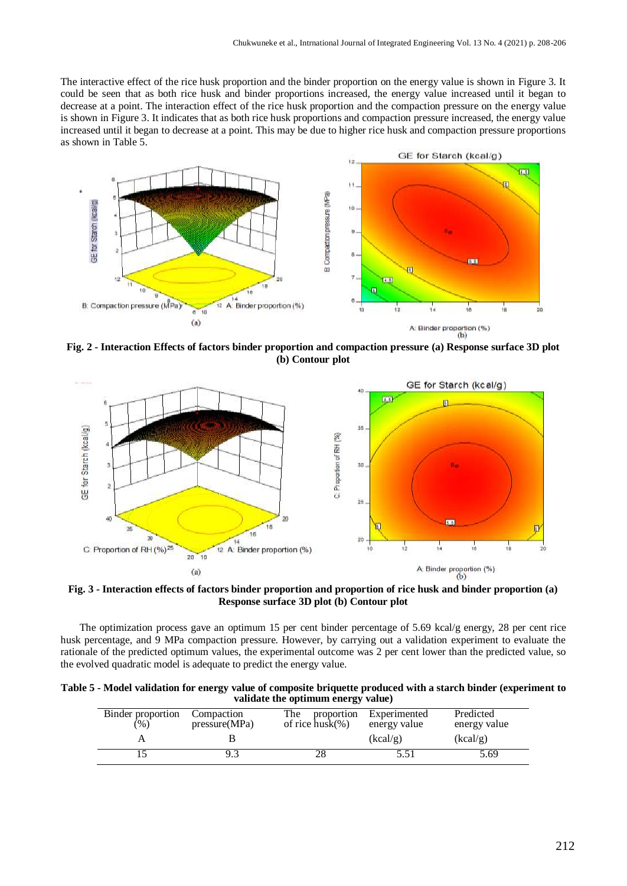The interactive effect of the rice husk proportion and the binder proportion on the energy value is shown in Figure 3. It could be seen that as both rice husk and binder proportions increased, the energy value increased until it began to decrease at a point. The interaction effect of the rice husk proportion and the compaction pressure on the energy value is shown in Figure 3. It indicates that as both rice husk proportions and compaction pressure increased, the energy value increased until it began to decrease at a point. This may be due to higher rice husk and compaction pressure proportions as shown in Table 5.



**Fig. 2 - Interaction Effects of factors binder proportion and compaction pressure (a) Response surface 3D plot (b) Contour plot**



**Fig. 3 - Interaction effects of factors binder proportion and proportion of rice husk and binder proportion (a) Response surface 3D plot (b) Contour plot**

The optimization process gave an optimum 15 per cent binder percentage of 5.69 kcal/g energy, 28 per cent rice husk percentage, and 9 MPa compaction pressure. However, by carrying out a validation experiment to evaluate the rationale of the predicted optimum values, the experimental outcome was 2 per cent lower than the predicted value, so the evolved quadratic model is adequate to predict the energy value.

| Table 5 - Model validation for energy value of composite briquette produced with a starch binder (experiment to |                                    |  |
|-----------------------------------------------------------------------------------------------------------------|------------------------------------|--|
|                                                                                                                 | validate the optimum energy value) |  |

| Binder proportion<br>(% ) | Compaction<br>pressure(MPa) | The<br>proportion<br>of rice $husk(\%)$ | Experimented<br>energy value | Predicted<br>energy value |
|---------------------------|-----------------------------|-----------------------------------------|------------------------------|---------------------------|
|                           |                             |                                         | (kcal/g)                     | (kcal/g)                  |
|                           |                             |                                         | 5.51                         | 5.69                      |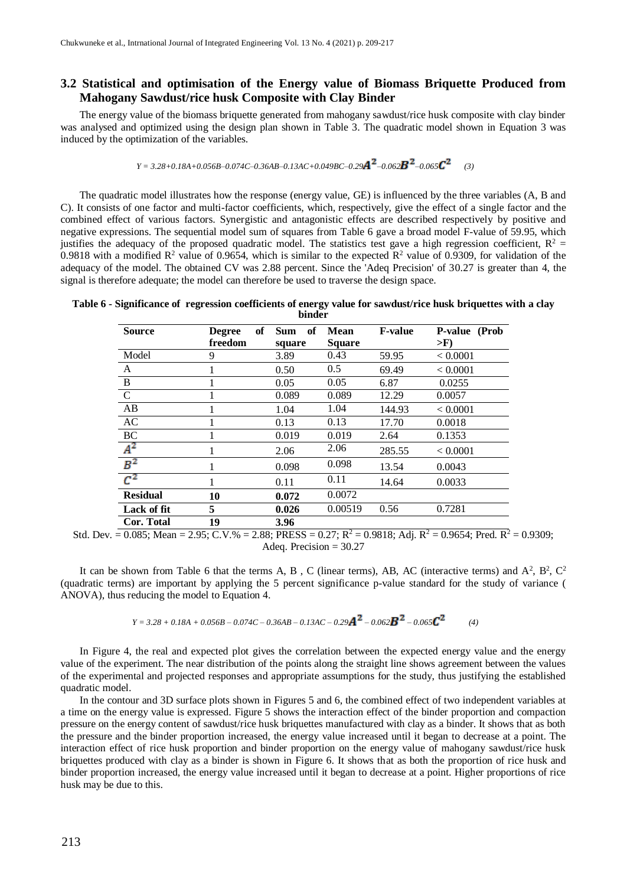## **3.2 Statistical and optimisation of the Energy value of Biomass Briquette Produced from Mahogany Sawdust/rice husk Composite with Clay Binder**

The energy value of the biomass briquette generated from mahogany sawdust/rice husk composite with clay binder was analysed and optimized using the design plan shown in Table 3. The quadratic model shown in Equation 3 was induced by the optimization of the variables.

$$
Y = 3.28 + 0.18A + 0.056B - 0.074C - 0.36AB - 0.13AC + 0.049BC - 0.29A^2 - 0.062B^2 - 0.065C^2
$$
 (3)

The quadratic model illustrates how the response (energy value, GE) is influenced by the three variables (A, B and C). It consists of one factor and multi-factor coefficients, which, respectively, give the effect of a single factor and the combined effect of various factors. Synergistic and antagonistic effects are described respectively by positive and negative expressions. The sequential model sum of squares from Table 6 gave a broad model F-value of 59.95, which justifies the adequacy of the proposed quadratic model. The statistics test gave a high regression coefficient,  $R^2$  = 0.9818 with a modified  $\mathbb{R}^2$  value of 0.9654, which is similar to the expected  $\mathbb{R}^2$  value of 0.9309, for validation of the adequacy of the model. The obtained CV was 2.88 percent. Since the 'Adeq Precision' of 30.27 is greater than 4, the signal is therefore adequate; the model can therefore be used to traverse the design space.

**Table 6 - Significance of regression coefficients of energy value for sawdust/rice husk briquettes with a clay binder**

| <b>Source</b>   | <b>Degree</b> | of<br>of<br><b>Sum</b> | Mean          | <b>F-value</b> | P-value (Prob |
|-----------------|---------------|------------------------|---------------|----------------|---------------|
|                 | freedom       | square                 | <b>Square</b> |                | $>$ F)        |
| Model           | 9             | 3.89                   | 0.43          | 59.95          | < 0.0001      |
| A               |               | 0.50                   | 0.5           | 69.49          | < 0.0001      |
| $\mathbf{B}$    | 1             | 0.05                   | 0.05          | 6.87           | 0.0255        |
| $\mathbf C$     | 1             | 0.089                  | 0.089         | 12.29          | 0.0057        |
| AB              | 1             | 1.04                   | 1.04          | 144.93         | < 0.0001      |
| AC              |               | 0.13                   | 0.13          | 17.70          | 0.0018        |
| BC              |               | 0.019                  | 0.019         | 2.64           | 0.1353        |
| $A^2$           | 1             | 2.06                   | 2.06          | 285.55         | < 0.0001      |
| $B^2$           | 1             | 0.098                  | 0.098         | 13.54          | 0.0043        |
| $C^2$           | 1             | 0.11                   | 0.11          | 14.64          | 0.0033        |
| <b>Residual</b> | 10            | 0.072                  | 0.0072        |                |               |
| Lack of fit     | 5             | 0.026                  | 0.00519       | 0.56           | 0.7281        |
| Cor. Total      | 19            | 3.96                   |               |                |               |

Std. Dev.  $= 0.085$ ; Mean = 2.95; C.V.% = 2.88; PRESS = 0.27; R<sup>2</sup> = 0.9818; Adj. R<sup>2</sup> = 0.9654; Pred. R<sup>2</sup> = 0.9309; Adeq. Precision = 30.27

It can be shown from Table 6 that the terms A, B, C (linear terms), AB, AC (interactive terms) and  $A^2$ ,  $B^2$ ,  $C^2$ (quadratic terms) are important by applying the 5 percent significance p-value standard for the study of variance ( ANOVA), thus reducing the model to Equation 4.

$$
Y = 3.28 + 0.18A + 0.056B - 0.074C - 0.36AB - 0.13AC - 0.29A^2 - 0.062B^2 - 0.065C^2
$$
 (4)

In Figure 4, the real and expected plot gives the correlation between the expected energy value and the energy value of the experiment. The near distribution of the points along the straight line shows agreement between the values of the experimental and projected responses and appropriate assumptions for the study, thus justifying the established quadratic model.

In the contour and 3D surface plots shown in Figures 5 and 6, the combined effect of two independent variables at a time on the energy value is expressed. Figure 5 shows the interaction effect of the binder proportion and compaction pressure on the energy content of sawdust/rice husk briquettes manufactured with clay as a binder. It shows that as both the pressure and the binder proportion increased, the energy value increased until it began to decrease at a point. The interaction effect of rice husk proportion and binder proportion on the energy value of mahogany sawdust/rice husk briquettes produced with clay as a binder is shown in Figure 6. It shows that as both the proportion of rice husk and binder proportion increased, the energy value increased until it began to decrease at a point. Higher proportions of rice husk may be due to this.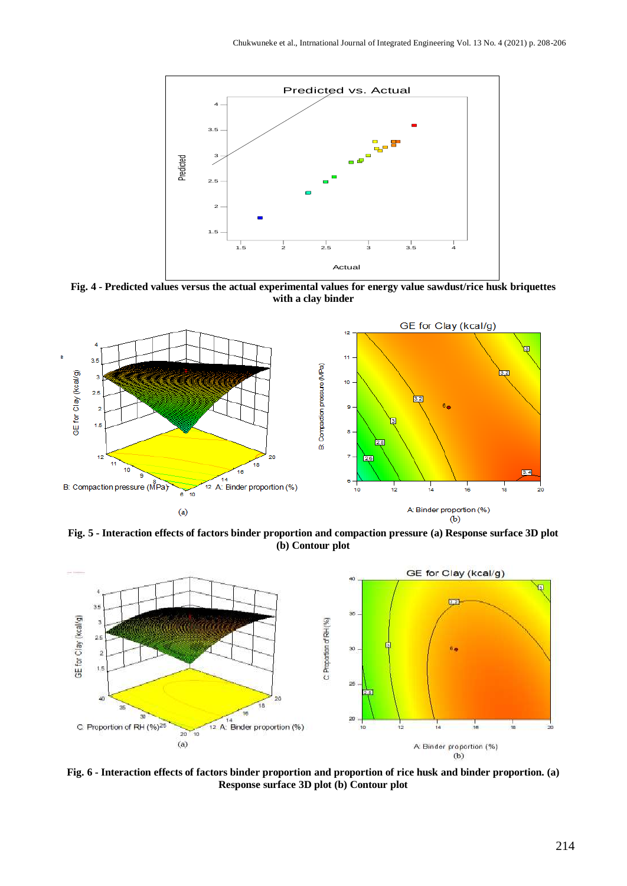

**Fig. 4 - Predicted values versus the actual experimental values for energy value sawdust/rice husk briquettes with a clay binder**



**Fig. 5 - Interaction effects of factors binder proportion and compaction pressure (a) Response surface 3D plot (b) Contour plot**



**Fig. 6 - Interaction effects of factors binder proportion and proportion of rice husk and binder proportion. (a) Response surface 3D plot (b) Contour plot**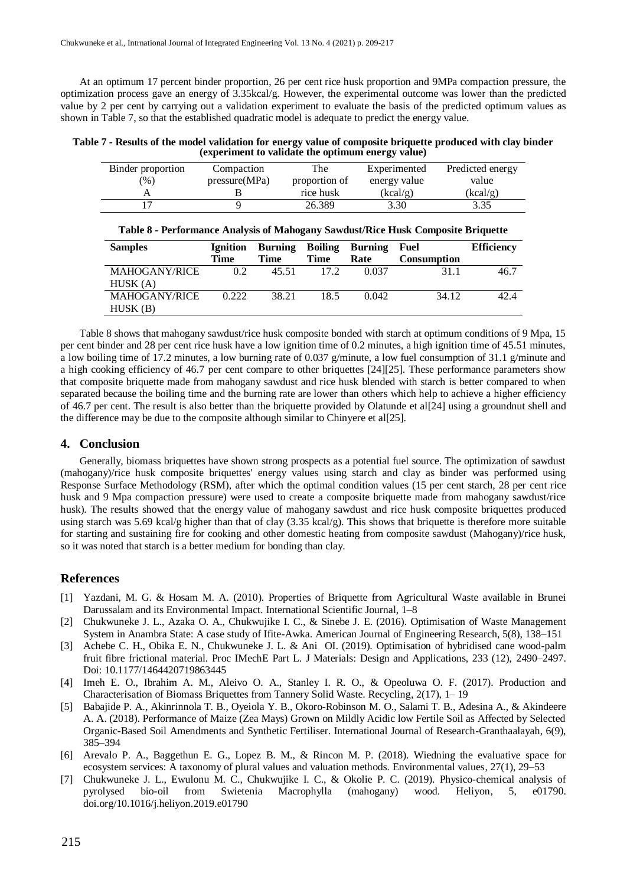At an optimum 17 percent binder proportion, 26 per cent rice husk proportion and 9MPa compaction pressure, the optimization process gave an energy of 3.35kcal/g. However, the experimental outcome was lower than the predicted value by 2 per cent by carrying out a validation experiment to evaluate the basis of the predicted optimum values as shown in Table 7, so that the established quadratic model is adequate to predict the energy value.

**Table 7 - Results of the model validation for energy value of composite briquette produced with clay binder (experiment to validate the optimum energy value)**

| Binder proportion | Compaction    | The           | Experimented | Predicted energy |
|-------------------|---------------|---------------|--------------|------------------|
| $\frac{9}{0}$     | pressure(MPa) | proportion of | energy value | value            |
|                   |               | rice husk     | (kcal/g)     | (kcal/g)         |
|                   |               | 26.389        | 3.30         | 3.35             |

| <b>Samples</b>       | <b>Ignition</b> |       |      | <b>Burning Boiling Burning</b> | Fuel               | <b>Efficiency</b> |
|----------------------|-----------------|-------|------|--------------------------------|--------------------|-------------------|
|                      | Time            | Time  | Time | Rate                           | <b>Consumption</b> |                   |
| <b>MAHOGANY/RICE</b> | 0.2             | 45.51 | 172  | 0.037                          | 31.1               | 46.7              |
| HUSK(A)              |                 |       |      |                                |                    |                   |
| <b>MAHOGANY/RICE</b> | 0.222           | 38.21 | 18.5 | 0.042                          | 34.12              | 42.4              |
| HUSK(B)              |                 |       |      |                                |                    |                   |

Table 8 shows that mahogany sawdust/rice husk composite bonded with starch at optimum conditions of 9 Mpa, 15 per cent binder and 28 per cent rice husk have a low ignition time of 0.2 minutes, a high ignition time of 45.51 minutes, a low boiling time of 17.2 minutes, a low burning rate of 0.037 g/minute, a low fuel consumption of 31.1 g/minute and a high cooking efficiency of 46.7 per cent compare to other briquettes [24][25]. These performance parameters show that composite briquette made from mahogany sawdust and rice husk blended with starch is better compared to when separated because the boiling time and the burning rate are lower than others which help to achieve a higher efficiency of 46.7 per cent. The result is also better than the briquette provided by Olatunde et al[24] using a groundnut shell and the difference may be due to the composite although similar to Chinyere et al[25].

#### **4. Conclusion**

Generally, biomass briquettes have shown strong prospects as a potential fuel source. The optimization of sawdust (mahogany)/rice husk composite briquettes' energy values using starch and clay as binder was performed using Response Surface Methodology (RSM), after which the optimal condition values (15 per cent starch, 28 per cent rice husk and 9 Mpa compaction pressure) were used to create a composite briquette made from mahogany sawdust/rice husk). The results showed that the energy value of mahogany sawdust and rice husk composite briquettes produced using starch was 5.69 kcal/g higher than that of clay (3.35 kcal/g). This shows that briquette is therefore more suitable for starting and sustaining fire for cooking and other domestic heating from composite sawdust (Mahogany)/rice husk, so it was noted that starch is a better medium for bonding than clay.

#### **References**

- [1] Yazdani, M. G. & Hosam M. A. (2010). Properties of Briquette from Agricultural Waste available in Brunei Darussalam and its Environmental Impact. International Scientific Journal, 1–8
- [2] Chukwuneke J. L., Azaka O. A., Chukwujike I. C., & Sinebe J. E. (2016). Optimisation of Waste Management System in Anambra State: A case study of Ifite-Awka. American Journal of Engineering Research, 5(8), 138–151
- [3] Achebe C. H., Obika E. N., Chukwuneke J. L. & Ani OI. (2019). Optimisation of hybridised cane wood-palm fruit fibre frictional material. Proc IMechE Part L. J Materials: Design and Applications, 233 (12), 2490–2497. Doi: 10.1177/1464420719863445
- [4] Imeh E. O., Ibrahim A. M., Aleivo O. A., Stanley I. R. O., & Opeoluwa O. F. (2017). Production and Characterisation of Biomass Briquettes from Tannery Solid Waste. Recycling, 2(17), 1– 19
- [5] Babajide P. A., Akinrinnola T. B., Oyeiola Y. B., Okoro-Robinson M. O., Salami T. B., Adesina A., & Akindeere A. A. (2018). Performance of Maize (Zea Mays) Grown on Mildly Acidic low Fertile Soil as Affected by Selected Organic-Based Soil Amendments and Synthetic Fertiliser. International Journal of Research-Granthaalayah, 6(9), 385–394
- [6] Arevalo P. A., Baggethun E. G., Lopez B. M., & Rincon M. P. (2018). Wiedning the evaluative space for ecosystem services: A taxonomy of plural values and valuation methods. Environmental values, 27(1), 29–53
- [7] Chukwuneke J. L., Ewulonu M. C., Chukwujike I. C., & Okolie P. C. (2019). Physico-chemical analysis of pyrolysed bio-oil from Swietenia Macrophylla (mahogany) wood. Heliyon, 5, e01790. doi.org/10.1016/j.heliyon.2019.e01790